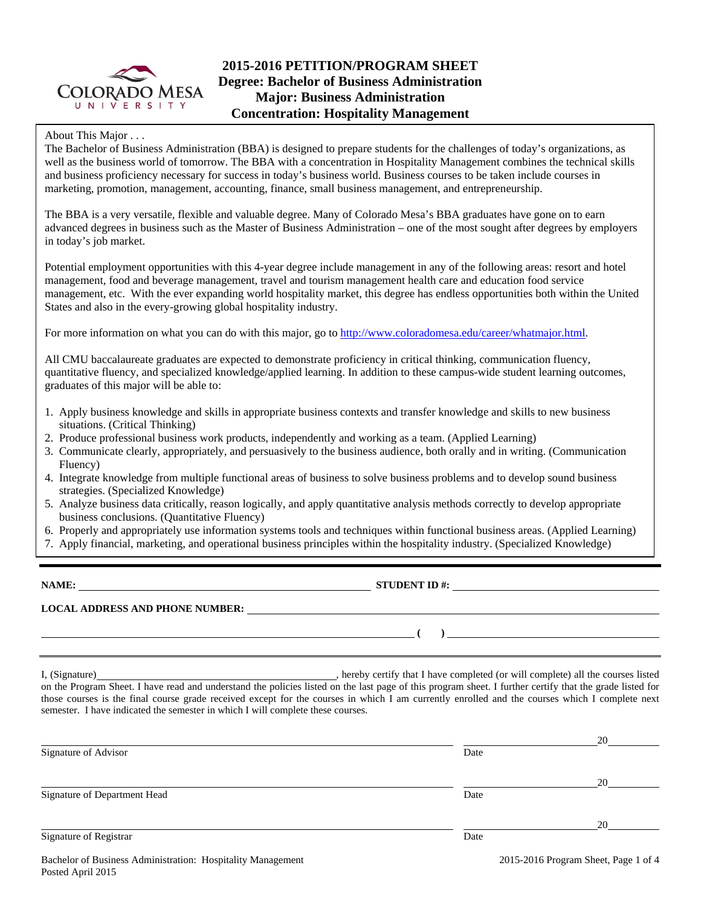

# **2015-2016 PETITION/PROGRAM SHEET Degree: Bachelor of Business Administration Major: Business Administration Concentration: Hospitality Management**

## About This Major . . .

The Bachelor of Business Administration (BBA) is designed to prepare students for the challenges of today's organizations, as well as the business world of tomorrow. The BBA with a concentration in Hospitality Management combines the technical skills and business proficiency necessary for success in today's business world. Business courses to be taken include courses in marketing, promotion, management, accounting, finance, small business management, and entrepreneurship.

The BBA is a very versatile, flexible and valuable degree. Many of Colorado Mesa's BBA graduates have gone on to earn advanced degrees in business such as the Master of Business Administration – one of the most sought after degrees by employers in today's job market.

Potential employment opportunities with this 4-year degree include management in any of the following areas: resort and hotel management, food and beverage management, travel and tourism management health care and education food service management, etc. With the ever expanding world hospitality market, this degree has endless opportunities both within the United States and also in the every-growing global hospitality industry.

For more information on what you can do with this major, go to http://www.coloradomesa.edu/career/whatmajor.html.

All CMU baccalaureate graduates are expected to demonstrate proficiency in critical thinking, communication fluency, quantitative fluency, and specialized knowledge/applied learning. In addition to these campus-wide student learning outcomes, graduates of this major will be able to:

- 1. Apply business knowledge and skills in appropriate business contexts and transfer knowledge and skills to new business situations. (Critical Thinking)
- 2. Produce professional business work products, independently and working as a team. (Applied Learning)
- 3. Communicate clearly, appropriately, and persuasively to the business audience, both orally and in writing. (Communication Fluency)
- 4. Integrate knowledge from multiple functional areas of business to solve business problems and to develop sound business strategies. (Specialized Knowledge)
- 5. Analyze business data critically, reason logically, and apply quantitative analysis methods correctly to develop appropriate business conclusions. (Quantitative Fluency)
- 6. Properly and appropriately use information systems tools and techniques within functional business areas. (Applied Learning)
- 7. Apply financial, marketing, and operational business principles within the hospitality industry. (Specialized Knowledge)

**NAME: STUDENT ID #: STUDENT ID #: STUDENT ID #: STUDENT ID #: STUDENT ID #:**  $\overline{\phantom{1}}$ 

## **LOCAL ADDRESS AND PHONE NUMBER:**

I, (Signature) , hereby certify that I have completed (or will complete) all the courses listed on the Program Sheet. I have read and understand the policies listed on the last page of this program sheet. I further certify that the grade listed for those courses is the final course grade received except for the courses in which I am currently enrolled and the courses which I complete next semester. I have indicated the semester in which I will complete these courses.

|                                                                                                                |      | 20 |
|----------------------------------------------------------------------------------------------------------------|------|----|
| Signature of Advisor                                                                                           | Date |    |
|                                                                                                                |      | 20 |
| Signature of Department Head                                                                                   | Date |    |
|                                                                                                                |      | 20 |
| Signature of Registrar                                                                                         | Date |    |
| 그 아이들은 그 사람들은 그 사람들을 지나 않고 있다. 그 사람들은 그 사람들은 그 사람들은 그 사람들을 지나 않고 있다. 그 사람들은 그 사람들은 그 사람들은 그 사람들을 지나 않고 있다. 그 사 |      |    |

 **( )**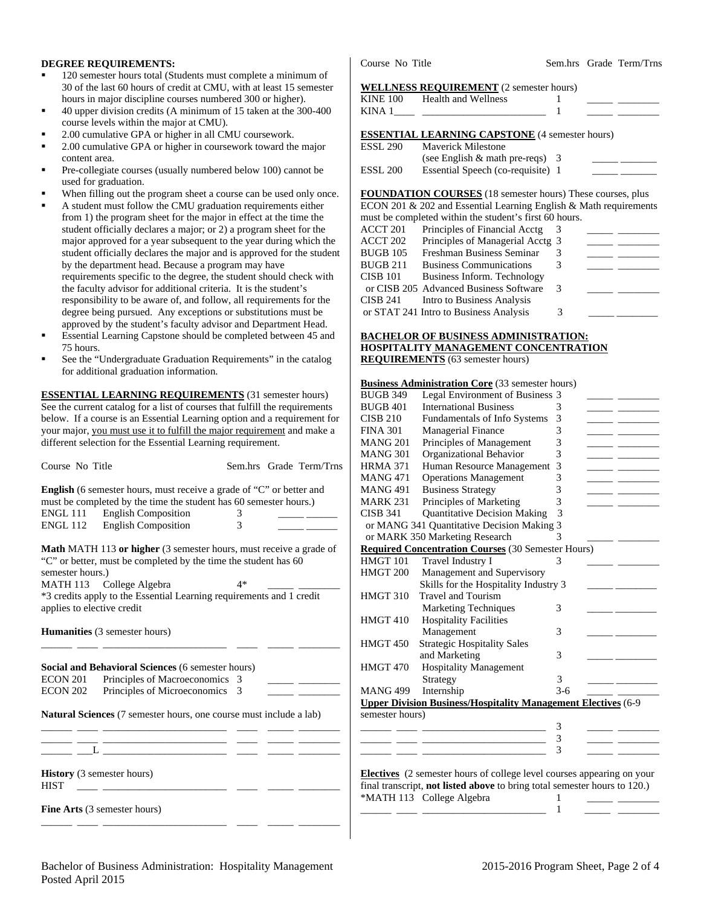## **DEGREE REQUIREMENTS:**

- 120 semester hours total (Students must complete a minimum of 30 of the last 60 hours of credit at CMU, with at least 15 semester hours in major discipline courses numbered 300 or higher).
- 40 upper division credits (A minimum of 15 taken at the 300-400 course levels within the major at CMU).
- 2.00 cumulative GPA or higher in all CMU coursework.
- 2.00 cumulative GPA or higher in coursework toward the major content area.
- Pre-collegiate courses (usually numbered below 100) cannot be used for graduation.
- When filling out the program sheet a course can be used only once.
- A student must follow the CMU graduation requirements either from 1) the program sheet for the major in effect at the time the student officially declares a major; or 2) a program sheet for the major approved for a year subsequent to the year during which the student officially declares the major and is approved for the student by the department head. Because a program may have requirements specific to the degree, the student should check with the faculty advisor for additional criteria. It is the student's responsibility to be aware of, and follow, all requirements for the degree being pursued. Any exceptions or substitutions must be approved by the student's faculty advisor and Department Head.
- Essential Learning Capstone should be completed between 45 and 75 hours.
- See the "Undergraduate Graduation Requirements" in the catalog for additional graduation information.

**ESSENTIAL LEARNING REQUIREMENTS** (31 semester hours) See the current catalog for a list of courses that fulfill the requirements below. If a course is an Essential Learning option and a requirement for your major, you must use it to fulfill the major requirement and make a different selection for the Essential Learning requirement.

| Course No Title            |                                                                           | Sem.hrs Grade Term/Trns |  | <b>HRMA 371</b> | Human Resource Management 3                                                      |       |  |
|----------------------------|---------------------------------------------------------------------------|-------------------------|--|-----------------|----------------------------------------------------------------------------------|-------|--|
|                            |                                                                           |                         |  | <b>MANG 471</b> | <b>Operations Management</b>                                                     | 3     |  |
|                            | English (6 semester hours, must receive a grade of "C" or better and      |                         |  | <b>MANG 491</b> | <b>Business Strategy</b>                                                         | 3     |  |
|                            | must be completed by the time the student has 60 semester hours.)         |                         |  | <b>MARK 231</b> | Principles of Marketing                                                          |       |  |
| <b>ENGL 111</b>            | <b>English Composition</b>                                                | 3                       |  | <b>CISB 341</b> | <b>Quantitative Decision Making</b>                                              |       |  |
| <b>ENGL 112</b>            | <b>English Composition</b>                                                |                         |  |                 | or MANG 341 Quantitative Decision Making 3                                       |       |  |
|                            |                                                                           |                         |  |                 | or MARK 350 Marketing Research                                                   |       |  |
|                            | Math MATH 113 or higher (3 semester hours, must receive a grade of        |                         |  |                 | <b>Required Concentration Courses</b> (30 Semester Hours)                        |       |  |
|                            | "C" or better, must be completed by the time the student has 60           |                         |  | HMGT 101        | Travel Industry I                                                                |       |  |
| semester hours.)           |                                                                           |                         |  | HMGT 200        | Management and Supervisory                                                       |       |  |
|                            | MATH 113 College Algebra                                                  | 4*                      |  |                 | Skills for the Hospitality Industry 3                                            |       |  |
|                            | *3 credits apply to the Essential Learning requirements and 1 credit      |                         |  | <b>HMGT 310</b> | <b>Travel and Tourism</b>                                                        |       |  |
| applies to elective credit |                                                                           |                         |  |                 | <b>Marketing Techniques</b>                                                      | 3     |  |
|                            |                                                                           |                         |  | HMGT 410        | <b>Hospitality Facilities</b>                                                    |       |  |
|                            | <b>Humanities</b> (3 semester hours)                                      |                         |  |                 | Management                                                                       | 3     |  |
|                            |                                                                           |                         |  | HMGT 450        | <b>Strategic Hospitality Sales</b>                                               |       |  |
|                            |                                                                           |                         |  |                 | and Marketing                                                                    | 3     |  |
|                            | Social and Behavioral Sciences (6 semester hours)                         |                         |  | HMGT 470        | <b>Hospitality Management</b>                                                    |       |  |
| ECON 201                   | Principles of Macroeconomics 3                                            |                         |  |                 | Strategy                                                                         | 3     |  |
| ECON 202                   | Principles of Microeconomics 3                                            |                         |  | <b>MANG 499</b> | Internship                                                                       | $3-6$ |  |
|                            |                                                                           |                         |  |                 | <b>Upper Division Business/Hospitality Management Electives (6-9)</b>            |       |  |
|                            | <b>Natural Sciences</b> (7 semester hours, one course must include a lab) |                         |  | semester hours) |                                                                                  |       |  |
|                            |                                                                           |                         |  |                 |                                                                                  |       |  |
|                            |                                                                           |                         |  |                 |                                                                                  | 3     |  |
|                            |                                                                           |                         |  |                 |                                                                                  |       |  |
|                            |                                                                           |                         |  |                 |                                                                                  |       |  |
|                            | <b>History</b> (3 semester hours)                                         |                         |  |                 | <b>Electives</b> (2 semester hours of college level courses appearing on your    |       |  |
| <b>HIST</b>                |                                                                           |                         |  |                 | final transcript, <b>not listed above</b> to bring total semester hours to 120.) |       |  |
|                            |                                                                           |                         |  |                 | *MATH 113 College Algebra                                                        |       |  |
|                            | Fine Arts (3 semester hours)                                              |                         |  |                 |                                                                                  |       |  |
|                            |                                                                           |                         |  |                 |                                                                                  |       |  |

Course No Title Sem.hrs Grade Term/Trns

#### **WELLNESS REQUIREMENT** (2 semester hours)

| KINE 100 Health and Wellness<br>KINA $1 \_$                                                                                                                                                                                                                                                                        |  | the control of the control of the con- |
|--------------------------------------------------------------------------------------------------------------------------------------------------------------------------------------------------------------------------------------------------------------------------------------------------------------------|--|----------------------------------------|
| <b>ESSENTIAL LEARNING CAPSTONE</b> (4 semester hours)<br>ESSL 290 Mayerick Milestone                                                                                                                                                                                                                               |  |                                        |
| $\sqrt{2}$ $\sqrt{2}$ $\sqrt{1}$ $\sqrt{2}$ $\sqrt{2}$ $\sqrt{2}$ $\sqrt{2}$ $\sqrt{2}$ $\sqrt{2}$ $\sqrt{2}$ $\sqrt{2}$ $\sqrt{2}$ $\sqrt{2}$ $\sqrt{2}$ $\sqrt{2}$ $\sqrt{2}$ $\sqrt{2}$ $\sqrt{2}$ $\sqrt{2}$ $\sqrt{2}$ $\sqrt{2}$ $\sqrt{2}$ $\sqrt{2}$ $\sqrt{2}$ $\sqrt{2}$ $\sqrt{2}$ $\sqrt{2}$ $\sqrt{2$ |  |                                        |

| LYY 7YO  | Maverick Millestone               |  |
|----------|-----------------------------------|--|
|          | (see English $&$ math pre-reqs) 3 |  |
| ESSL 200 | Essential Speech (co-requisite) 1 |  |

**FOUNDATION COURSES** (18 semester hours) These courses, plus ECON 201 & 202 and Essential Learning English & Math requirements

|          | must be completed within the student's first 60 hours. |   |  |
|----------|--------------------------------------------------------|---|--|
| ACCT 201 | Principles of Financial Acctg                          |   |  |
| ACCT 202 | Principles of Managerial Acctg 3                       |   |  |
| BUGB 105 | Freshman Business Seminar                              |   |  |
| BUGB 211 | <b>Business Communications</b>                         |   |  |
| CISB 101 | Business Inform. Technology                            |   |  |
|          | or CISB 205 Advanced Business Software                 |   |  |
| CISB 241 | Intro to Business Analysis                             |   |  |
|          | or STAT 241 Intro to Business Analysis                 | 3 |  |

### **BACHELOR OF BUSINESS ADMINISTRATION: HOSPITALITY MANAGEMENT CONCENTRATION REQUIREMENTS** (63 semester hours)

### **Business Administration Core** (33 semester hours)

| <b>BUGB 349</b>     | Legal Environment of Business 3                                               |       |  |
|---------------------|-------------------------------------------------------------------------------|-------|--|
| <b>BUGB 401</b>     | <b>International Business</b>                                                 | 3     |  |
| <b>CISB 210</b>     | <b>Fundamentals of Info Systems</b>                                           | 3     |  |
| <b>FINA 301</b>     | <b>Managerial Finance</b>                                                     | 3     |  |
| <b>MANG 201</b>     | Principles of Management                                                      | 3     |  |
| <b>MANG 301</b>     | Organizational Behavior                                                       | 3     |  |
| <b>HRMA 371</b>     | Human Resource Management                                                     | 3     |  |
| <b>MANG 471</b>     | <b>Operations Management</b>                                                  | 3     |  |
| <b>MANG 491</b>     | <b>Business Strategy</b>                                                      | 3     |  |
| <b>MARK 231</b>     | Principles of Marketing                                                       | 3     |  |
| <b>CISB 341</b>     | <b>Quantitative Decision Making</b>                                           | 3     |  |
|                     | or MANG 341 Quantitative Decision Making 3                                    |       |  |
|                     | or MARK 350 Marketing Research                                                | 3     |  |
|                     | <b>Required Concentration Courses</b> (30 Semester Hours)                     |       |  |
| HMGT 101            | Travel Industry I                                                             | 3     |  |
| HMGT <sub>200</sub> | Management and Supervisory                                                    |       |  |
|                     | Skills for the Hospitality Industry 3                                         |       |  |
| <b>HMGT 310</b>     | Travel and Tourism                                                            |       |  |
|                     | <b>Marketing Techniques</b>                                                   | 3     |  |
| <b>HMGT 410</b>     | <b>Hospitality Facilities</b>                                                 |       |  |
|                     | Management                                                                    | 3     |  |
| <b>HMGT 450</b>     | <b>Strategic Hospitality Sales</b>                                            |       |  |
|                     | and Marketing                                                                 | 3     |  |
| HMGT 470            | <b>Hospitality Management</b>                                                 |       |  |
|                     | Strategy                                                                      | 3     |  |
| <b>MANG 499</b>     | Internship                                                                    | $3-6$ |  |
|                     | <b>Upper Division Business/Hospitality Management Electives</b> (6-9          |       |  |
| semester hours)     |                                                                               |       |  |
|                     |                                                                               | 3     |  |
|                     |                                                                               | 3     |  |
|                     |                                                                               | 3     |  |
|                     |                                                                               |       |  |
|                     | <b>Electives</b> (2 semester hours of college level courses appearing on your |       |  |
|                     | final transcript, not listed above to bring total semester hours to 120.)     |       |  |
|                     | *MATH 113 College Algebra                                                     | 1     |  |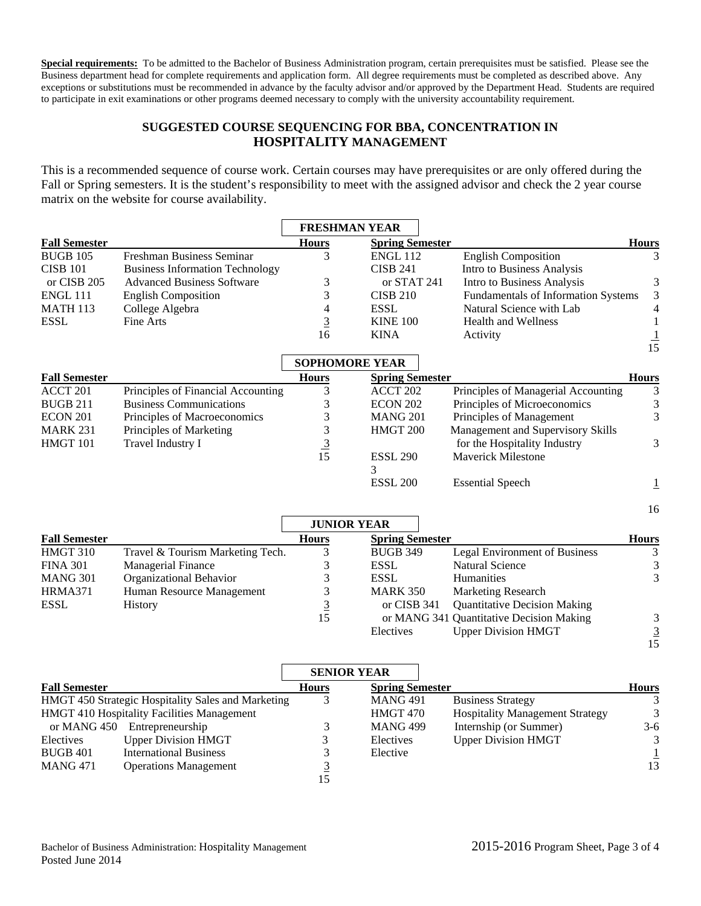**Special requirements:** To be admitted to the Bachelor of Business Administration program, certain prerequisites must be satisfied. Please see the Business department head for complete requirements and application form. All degree requirements must be completed as described above. Any exceptions or substitutions must be recommended in advance by the faculty advisor and/or approved by the Department Head. Students are required to participate in exit examinations or other programs deemed necessary to comply with the university accountability requirement.

# **SUGGESTED COURSE SEQUENCING FOR BBA, CONCENTRATION IN HOSPITALITY MANAGEMENT**

This is a recommended sequence of course work. Certain courses may have prerequisites or are only offered during the Fall or Spring semesters. It is the student's responsibility to meet with the assigned advisor and check the 2 year course matrix on the website for course availability.

|                      |                                                    | <b>FRESHMAN YEAR</b>  |                        |                                          |                |
|----------------------|----------------------------------------------------|-----------------------|------------------------|------------------------------------------|----------------|
| <b>Fall Semester</b> |                                                    | <b>Hours</b>          | <b>Spring Semester</b> |                                          | <b>Hours</b>   |
| <b>BUGB 105</b>      | Freshman Business Seminar                          | 3                     | <b>ENGL 112</b>        | <b>English Composition</b>               | 3              |
| <b>CISB 101</b>      | <b>Business Information Technology</b>             |                       | <b>CISB 241</b>        | Intro to Business Analysis               |                |
| or CISB 205          | <b>Advanced Business Software</b>                  | 3                     | or STAT 241            | Intro to Business Analysis               | 3              |
| <b>ENGL 111</b>      | <b>English Composition</b>                         | 3                     | <b>CISB 210</b>        | Fundamentals of Information Systems      | $\mathfrak{Z}$ |
| <b>MATH 113</b>      | College Algebra                                    | 4                     | <b>ESSL</b>            | Natural Science with Lab                 | 4              |
| <b>ESSL</b>          | Fine Arts                                          | $\overline{3}$        | <b>KINE 100</b>        | Health and Wellness                      | 1              |
|                      |                                                    | 16                    | <b>KINA</b>            | Activity                                 |                |
|                      |                                                    |                       |                        |                                          | $\frac{1}{15}$ |
|                      |                                                    | <b>SOPHOMORE YEAR</b> |                        |                                          |                |
| <b>Fall Semester</b> |                                                    | <b>Hours</b>          | <b>Spring Semester</b> |                                          | <b>Hours</b>   |
| ACCT 201             | Principles of Financial Accounting                 | 3                     | ACCT 202               | Principles of Managerial Accounting      | 3              |
| <b>BUGB 211</b>      | <b>Business Communications</b>                     | 3                     | ECON 202               | Principles of Microeconomics             | $\mathfrak{Z}$ |
| ECON 201             | Principles of Macroeconomics                       | 3                     | <b>MANG 201</b>        | Principles of Management                 | 3              |
| <b>MARK 231</b>      | Principles of Marketing                            | 3                     | HMGT 200               | Management and Supervisory Skills        |                |
| HMGT 101             | Travel Industry I                                  | $\overline{3}$        |                        | for the Hospitality Industry             | 3              |
|                      |                                                    | 15                    | <b>ESSL 290</b>        | <b>Maverick Milestone</b>                |                |
|                      |                                                    |                       | 3                      |                                          |                |
|                      |                                                    |                       | <b>ESSL 200</b>        | <b>Essential Speech</b>                  | $\overline{1}$ |
|                      |                                                    |                       |                        |                                          | 16             |
|                      |                                                    | <b>JUNIOR YEAR</b>    |                        |                                          |                |
| <b>Fall Semester</b> |                                                    | <b>Hours</b>          | <b>Spring Semester</b> |                                          | <b>Hours</b>   |
| <b>HMGT 310</b>      | Travel & Tourism Marketing Tech.                   | 3                     | <b>BUGB 349</b>        | <b>Legal Environment of Business</b>     | 3              |
| <b>FINA 301</b>      | <b>Managerial Finance</b>                          | 3                     | <b>ESSL</b>            | <b>Natural Science</b>                   | 3              |
| <b>MANG 301</b>      | Organizational Behavior                            | 3                     | <b>ESSL</b>            | Humanities                               | 3              |
| HRMA371              | Human Resource Management                          | 3                     | <b>MARK 350</b>        | <b>Marketing Research</b>                |                |
| <b>ESSL</b>          | History                                            | $\overline{3}$        | or CISB 341            | <b>Quantitative Decision Making</b>      |                |
|                      |                                                    | 15                    |                        | or MANG 341 Quantitative Decision Making | 3              |
|                      |                                                    |                       | Electives              | <b>Upper Division HMGT</b>               | $\frac{3}{15}$ |
|                      |                                                    |                       |                        |                                          |                |
|                      |                                                    | <b>SENIOR YEAR</b>    |                        |                                          |                |
| <b>Fall Semester</b> |                                                    | <b>Hours</b>          | <b>Spring Semester</b> |                                          | <b>Hours</b>   |
|                      | HMGT 450 Strategic Hospitality Sales and Marketing | 3                     | <b>MANG 491</b>        | <b>Business Strategy</b>                 | 3              |
|                      | HMGT 410 Hospitality Facilities Management         |                       | HMGT 470               | <b>Hospitality Management Strategy</b>   | $\overline{3}$ |
|                      | or MANG 450 Entrepreneurship                       | 3                     | <b>MANG 499</b>        | Internship (or Summer)                   | $3-6$          |

Electives Upper Division HMGT 3

BUGB 401 International Business 3<br>MANG 471 Operations Management  $\frac{3}{15}$ 

15

MANG 471 Operations Management

Electives Upper Division HMGT 3 Elective  $\frac{1}{13}$ 13